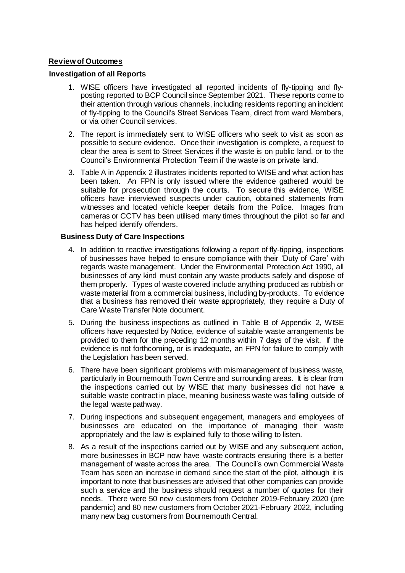# **Review of Outcomes**

### **Investigation of all Reports**

- 1. WISE officers have investigated all reported incidents of fly-tipping and flyposting reported to BCP Council since September 2021. These reports come to their attention through various channels, including residents reporting an incident of fly-tipping to the Council's Street Services Team, direct from ward Members, or via other Council services.
- 2. The report is immediately sent to WISE officers who seek to visit as soon as possible to secure evidence. Once their investigation is complete, a request to clear the area is sent to Street Services if the waste is on public land, or to the Council's Environmental Protection Team if the waste is on private land.
- 3. Table A in Appendix 2 illustrates incidents reported to WISE and what action has been taken. An FPN is only issued where the evidence gathered would be suitable for prosecution through the courts. To secure this evidence, WISE officers have interviewed suspects under caution, obtained statements from witnesses and located vehicle keeper details from the Police. Images from cameras or CCTV has been utilised many times throughout the pilot so far and has helped identify offenders.

## **Business Duty of Care Inspections**

- 4. In addition to reactive investigations following a report of fly-tipping, inspections of businesses have helped to ensure compliance with their 'Duty of Care' with regards waste management. Under the Environmental Protection Act 1990, all businesses of any kind must contain any waste products safely and dispose of them properly. Types of waste covered include anything produced as rubbish or waste material from a commercial business, including by-products. To evidence that a business has removed their waste appropriately, they require a Duty of Care Waste Transfer Note document.
- 5. During the business inspections as outlined in Table B of Appendix 2, WISE officers have requested by Notice, evidence of suitable waste arrangements be provided to them for the preceding 12 months within 7 days of the visit. If the evidence is not forthcoming, or is inadequate, an FPN for failure to comply with the Legislation has been served.
- 6. There have been significant problems with mismanagement of business waste, particularly in Bournemouth Town Centre and surrounding areas. It is clear from the inspections carried out by WISE that many businesses did not have a suitable waste contract in place, meaning business waste was falling outside of the legal waste pathway.
- 7. During inspections and subsequent engagement, managers and employees of businesses are educated on the importance of managing their waste appropriately and the law is explained fully to those willing to listen.
- 8. As a result of the inspections carried out by WISE and any subsequent action, more businesses in BCP now have waste contracts ensuring there is a better management of waste across the area. The Council's own Commercial Waste Team has seen an increase in demand since the start of the pilot, although it is important to note that businesses are advised that other companies can provide such a service and the business should request a number of quotes for their needs. There were 50 new customers from October 2019-February 2020 (pre pandemic) and 80 new customers from October 2021-February 2022, including many new bag customers from Bournemouth Central.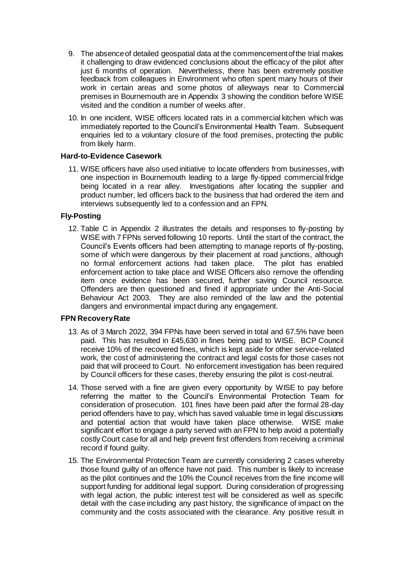- 9. The absence of detailed geospatial data at the commencement of the trial makes it challenging to draw evidenced conclusions about the efficacy of the pilot after just 6 months of operation. Nevertheless, there has been extremely positive feedback from colleagues in Environment who often spent many hours of their work in certain areas and some photos of alleyways near to Commercial premises in Bournemouth are in Appendix 3 showing the condition before WISE visited and the condition a number of weeks after.
- 10. In one incident, WISE officers located rats in a commercial kitchen which was immediately reported to the Council's Environmental Health Team. Subsequent enquiries led to a voluntary closure of the food premises, protecting the public from likely harm.

# **Hard-to-Evidence Casework**

11. WISE officers have also used initiative to locate offenders from businesses, with one inspection in Bournemouth leading to a large fly-tipped commercial fridge being located in a rear alley. Investigations after locating the supplier and product number, led officers back to the business that had ordered the item and interviews subsequently led to a confession and an FPN.

## **Fly-Posting**

12. Table C in Appendix 2 illustrates the details and responses to fly-posting by WISE with 7 FPNs served following 10 reports. Until the start of the contract, the Council's Events officers had been attempting to manage reports of fly-posting, some of which were dangerous by their placement at road junctions, although no formal enforcement actions had taken place. The pilot has enabled enforcement action to take place and WISE Officers also remove the offending item once evidence has been secured, further saving Council resource. Offenders are then questioned and fined if appropriate under the Anti-Social Behaviour Act 2003. They are also reminded of the law and the potential dangers and environmental impact during any engagement.

### **FPN Recovery Rate**

- 13. As of 3 March 2022, 394 FPNs have been served in total and 67.5% have been paid. This has resulted in £45,630 in fines being paid to WISE. BCP Council receive 10% of the recovered fines, which is kept aside for other service-related work, the cost of administering the contract and legal costs for those cases not paid that will proceed to Court. No enforcement investigation has been required by Council officers for these cases, thereby ensuring the pilot is cost-neutral.
- 14. Those served with a fine are given every opportunity by WISE to pay before referring the matter to the Council's Environmental Protection Team for consideration of prosecution. 101 fines have been paid after the formal 28-day period offenders have to pay, which has saved valuable time in legal discussions and potential action that would have taken place otherwise. WISE make significant effort to engage a party served with an FPN to help avoid a potentially costly Court case for all and help prevent first offenders from receiving a criminal record if found guilty.
- 15. The Environmental Protection Team are currently considering 2 cases whereby those found guilty of an offence have not paid. This number is likely to increase as the pilot continues and the 10% the Council receives from the fine income will support funding for additional legal support. During consideration of progressing with legal action, the public interest test will be considered as well as specific detail with the case including any past history, the significance of impact on the community and the costs associated with the clearance. Any positive result in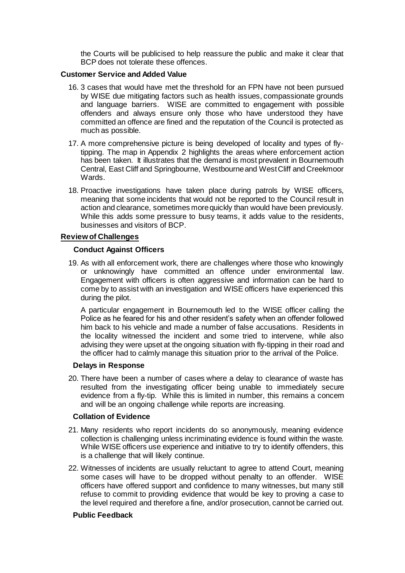the Courts will be publicised to help reassure the public and make it clear that BCP does not tolerate these offences.

# **Customer Service and Added Value**

- 16. 3 cases that would have met the threshold for an FPN have not been pursued by WISE due mitigating factors such as health issues, compassionate grounds and language barriers. WISE are committed to engagement with possible offenders and always ensure only those who have understood they have committed an offence are fined and the reputation of the Council is protected as much as possible.
- 17. A more comprehensive picture is being developed of locality and types of flytipping. The map in Appendix 2 highlights the areas where enforcement action has been taken. It illustrates that the demand is most prevalent in Bournemouth Central, East Cliff and Springbourne, Westbourne and West Cliff and Creekmoor Wards.
- 18. Proactive investigations have taken place during patrols by WISE officers, meaning that some incidents that would not be reported to the Council result in action and clearance, sometimes more quickly than would have been previously. While this adds some pressure to busy teams, it adds value to the residents, businesses and visitors of BCP.

## **Review of Challenges**

## **Conduct Against Officers**

19. As with all enforcement work, there are challenges where those who knowingly or unknowingly have committed an offence under environmental law. Engagement with officers is often aggressive and information can be hard to come by to assist with an investigation and WISE officers have experienced this during the pilot.

A particular engagement in Bournemouth led to the WISE officer calling the Police as he feared for his and other resident's safety when an offender followed him back to his vehicle and made a number of false accusations. Residents in the locality witnessed the incident and some tried to intervene, while also advising they were upset at the ongoing situation with fly-tipping in their road and the officer had to calmly manage this situation prior to the arrival of the Police.

#### **Delays in Response**

20. There have been a number of cases where a delay to clearance of waste has resulted from the investigating officer being unable to immediately secure evidence from a fly-tip. While this is limited in number, this remains a concem and will be an ongoing challenge while reports are increasing.

#### **Collation of Evidence**

- 21. Many residents who report incidents do so anonymously, meaning evidence collection is challenging unless incriminating evidence is found within the waste. While WISE officers use experience and initiative to try to identify offenders, this is a challenge that will likely continue.
- 22. Witnesses of incidents are usually reluctant to agree to attend Court, meaning some cases will have to be dropped without penalty to an offender. WISE officers have offered support and confidence to many witnesses, but many still refuse to commit to providing evidence that would be key to proving a case to the level required and therefore a fine, and/or prosecution, cannot be carried out.

#### **Public Feedback**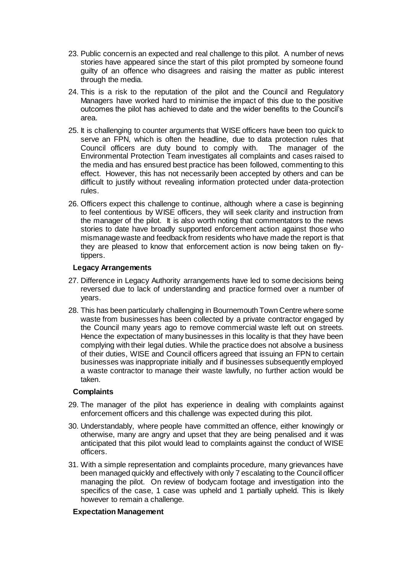- 23. Public concern is an expected and real challenge to this pilot. A number of news stories have appeared since the start of this pilot prompted by someone found guilty of an offence who disagrees and raising the matter as public interest through the media.
- 24. This is a risk to the reputation of the pilot and the Council and Regulatory Managers have worked hard to minimise the impact of this due to the positive outcomes the pilot has achieved to date and the wider benefits to the Council's area.
- 25. It is challenging to counter arguments that WISE officers have been too quick to serve an FPN, which is often the headline, due to data protection rules that Council officers are duty bound to comply with. The manager of the Environmental Protection Team investigates all complaints and cases raised to the media and has ensured best practice has been followed, commenting to this effect. However, this has not necessarily been accepted by others and can be difficult to justify without revealing information protected under data-protection rules.
- 26. Officers expect this challenge to continue, although where a case is beginning to feel contentious by WISE officers, they will seek clarity and instruction from the manager of the pilot. It is also worth noting that commentators to the news stories to date have broadly supported enforcement action against those who mismanage waste and feedback from residents who have made the report is that they are pleased to know that enforcement action is now being taken on flytippers.

## **Legacy Arrangements**

- 27. Difference in Legacy Authority arrangements have led to some decisions being reversed due to lack of understanding and practice formed over a number of years.
- 28. This has been particularly challenging in Bournemouth Town Centre where some waste from businesses has been collected by a private contractor engaged by the Council many years ago to remove commercial waste left out on streets. Hence the expectation of many businesses in this locality is that they have been complying with their legal duties. While the practice does not absolve a business of their duties, WISE and Council officers agreed that issuing an FPN to certain businesses was inappropriate initially and if businesses subsequently employed a waste contractor to manage their waste lawfully, no further action would be taken.

# **Complaints**

- 29. The manager of the pilot has experience in dealing with complaints against enforcement officers and this challenge was expected during this pilot.
- 30. Understandably, where people have committed an offence, either knowingly or otherwise, many are angry and upset that they are being penalised and it was anticipated that this pilot would lead to complaints against the conduct of WISE officers.
- 31. With a simple representation and complaints procedure, many grievances have been managed quickly and effectively with only 7 escalating to the Council officer managing the pilot. On review of bodycam footage and investigation into the specifics of the case, 1 case was upheld and 1 partially upheld. This is likely however to remain a challenge.

# **Expectation Management**